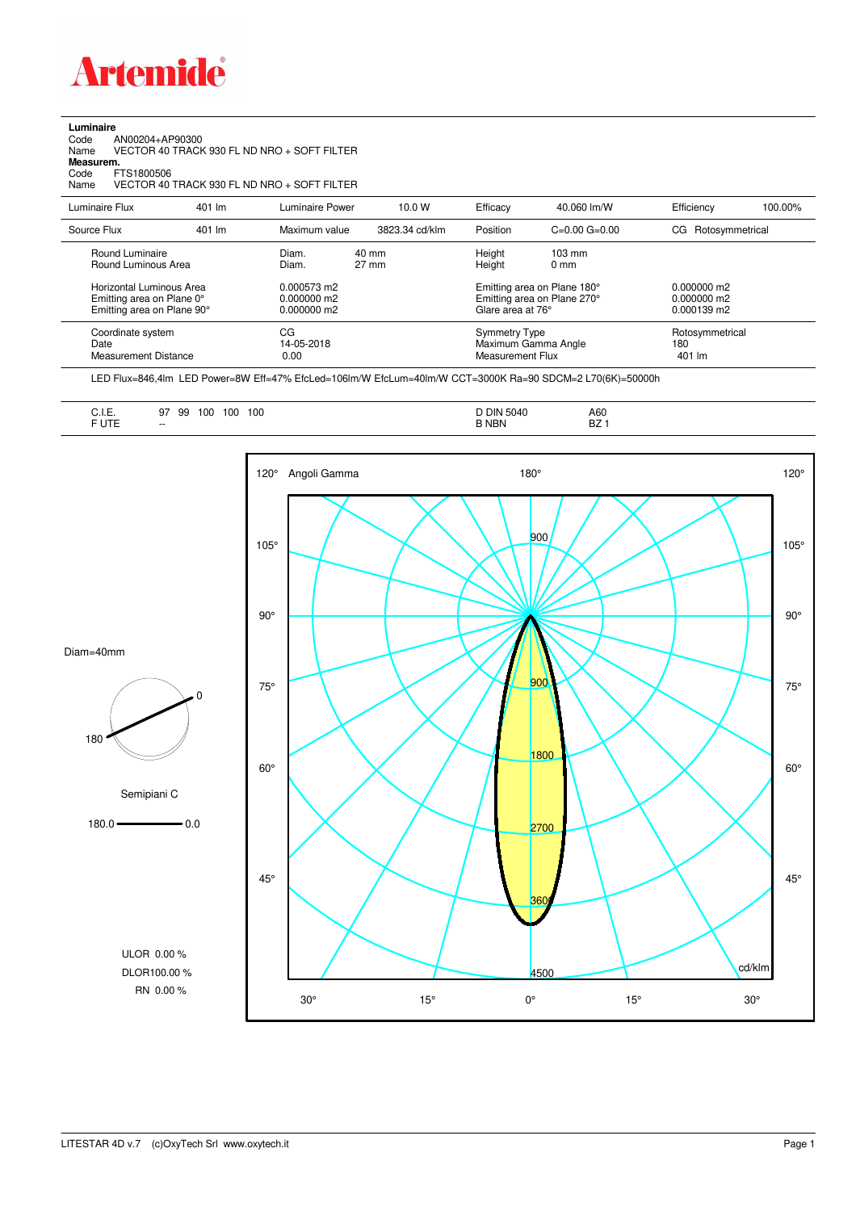

**Luminaire**

| Code<br>AN00204+AP90300<br>Name<br>Measurem.<br>FTS1800506<br>Code<br>Name          |        | VECTOR 40 TRACK 930 FL ND NRO + SOFT FILTER<br>VECTOR 40 TRACK 930 FL ND NRO + SOFT FILTER |                                    |                                                                        |                                                            |                                               |         |
|-------------------------------------------------------------------------------------|--------|--------------------------------------------------------------------------------------------|------------------------------------|------------------------------------------------------------------------|------------------------------------------------------------|-----------------------------------------------|---------|
| Luminaire Flux                                                                      | 401 lm | Luminaire Power                                                                            | 10.0 W                             | Efficacy                                                               | 40.060 lm/W                                                | Efficiency                                    | 100.00% |
| Source Flux                                                                         | 401 lm | Maximum value                                                                              | 3823.34 cd/klm                     | Position                                                               | $C=0.00$ $G=0.00$                                          | Rotosymmetrical<br>CG                         |         |
| Round Luminaire<br>Round Luminous Area                                              |        | Diam.<br>Diam.                                                                             | $40 \text{ mm}$<br>$27 \text{ mm}$ | Height<br>Height                                                       | $103 \text{ mm}$<br>0 <sub>mm</sub>                        |                                               |         |
| Horizontal Luminous Area<br>Emitting area on Plane 0°<br>Emitting area on Plane 90° |        | 0.000573 m2<br>$0.000000$ m2<br>0.000000 m2                                                |                                    | Glare area at 76°                                                      | Emitting area on Plane 180°<br>Emitting area on Plane 270° | $0.000000$ m2<br>$0.000000$ m2<br>0.000139 m2 |         |
| Coordinate system<br>Date<br><b>Measurement Distance</b>                            |        | CG<br>14-05-2018<br>0.00                                                                   |                                    | <b>Symmetry Type</b><br>Maximum Gamma Angle<br><b>Measurement Flux</b> |                                                            | Rotosymmetrical<br>180<br>401 lm              |         |

LED Flux=846,4lm LED Power=8W Eff=47% EfcLed=106lm/W EfcLum=40lm/W CCT=3000K Ra=90 SDCM=2 L70(6K)=50000h